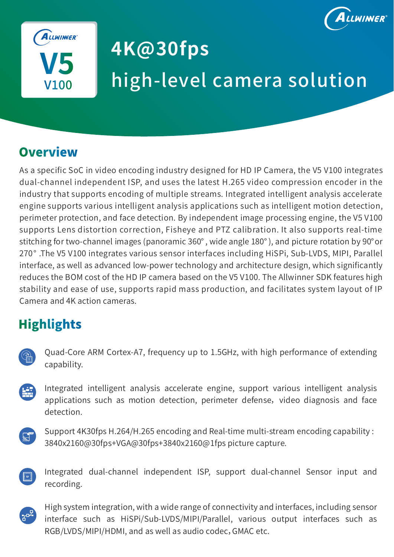



# **4K@30fps**  high-level camera solution

### **Overview**

As a specific SoC in video encoding industry designed for HD IP Camera, the V5 V100 integrates dual-channel independent ISP, and uses the latest H.265 video compression encoder in the industry that supports encoding of multiple streams. Integrated intelligent analysis accelerate engine supports various intelligent analysis applications such as intelligent motion detection, perimeter protection, and face detection. By independent image processing engine, the V5 V100 supports Lens distortion correction, Fisheye and PTZ calibration. It also supports real-time stitching for two-channel images (panoramic 360° , wide angle 180° ), and picture rotation by 90°or 270° .The V5 V100 integrates various sensor interfaces including HiSPi, Sub-LVDS, MIPI, Parallel interface, as well as advanced low-power technology and architecture design, which significantly reduces the BOM cost of the HD IP camera based on the V5 V100. The Allwinner SDK features high stability and ease of use, supports rapid mass production, and facilitates system layout of IP Camera and 4K action cameras.

### **Highlights**

| Ŀ |
|---|
|   |

Quad-Core ARM Cortex-A7, frequency up to 1.5GHz, with high performance of extending capability.

Integrated intelligent analysis accelerate engine, support various intelligent analysis applications such as motion detection, perimeter defense, video diagnosis and face detection.



Support 4K30fps H.264/H.265 encoding and Real-time multi-stream encoding capability : 3840x2160@30fps+VGA@30fps+3840x2160@1fps picture capture.



Integrated dual-channel independent ISP, support dual-channel Sensor input and recording.



High system integration, with a wide range of connectivity and interfaces, including sensor interface such as HiSPi/Sub-LVDS/MIPI/Parallel, various output interfaces such as RGB/LVDS/MIPI/HDMI, and as well as audio codec,GMAC etc.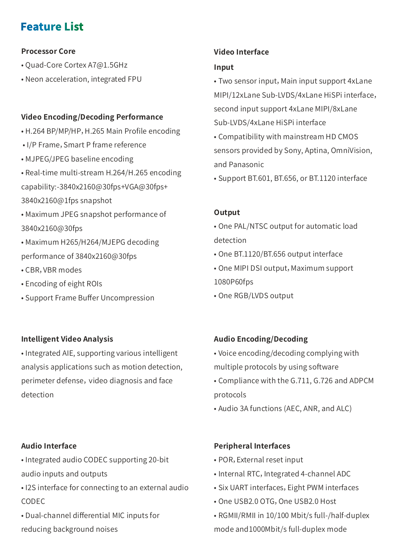### **Feature List**

### **Processor Core**

- Quad-Core Cortex A7@1.5GHz
- Neon acceleration, integrated FPU

### **Video Encoding/Decoding Performance**

- H.264 BP/MP/HP, H.265 Main Profile encoding
- I/P Frame, Smart P frame reference
- MJPEG/JPEG baseline encoding
- Real-time multi-stream H.264/H.265 encoding capability:-3840x2160@30fps+VGA@30fps+ 3840x2160@1fps snapshot
- Maximum JPEG snapshot performance of 3840x2160@30fps
- Maximum H265/H264/MJEPG decoding performance of 3840x2160@30fps
- CBR,VBR modes
- Encoding of eight ROIs
- Support Frame Buffer Uncompression

### **Intelligent Video Analysis**

• Integrated AIE, supporting various intelligent analysis applications such as motion detection, perimeter defense, video diagnosis and face detection

### **Video Interface**

#### **Input**

• Two sensor input, Main input support 4xLane MIPI/12xLane Sub-LVDS/4xLane HiSPi interface, second input support 4xLane MIPI/8xLane Sub-LVDS/4xLane HiSPi interface

- Compatibility with mainstream HD CMOS sensors provided by Sony, Aptina, OmniVision, and Panasonic
- Support BT.601, BT.656, or BT.1120 interface

### **Output**

- One PAL/NTSC output for automatic load detection
- One BT.1120/BT.656 output interface
- One MIPI DSI output, Maximum support 1080P60fps
- One RGB/LVDS output

### **Audio Encoding/Decoding**

- Voice encoding/decoding complying with multiple protocols by using software
- Compliance with the G.711, G.726 and ADPCM protocols
- Audio 3A functions (AEC, ANR, and ALC)

### **Audio Interface**

• Integrated audio CODEC supporting 20-bit audio inputs and outputs

- I2S interface for connecting to an external audio CODEC
- Dual-channel differential MIC inputs for reducing background noises

### **Peripheral Interfaces**

- POR,External reset input
- Internal RTC, Integrated 4-channel ADC
- Six UART interfaces, Eight PWM interfaces
- One USB2.0 OTG,One USB2.0 Host
- RGMII/RMII in 10/100 Mbit/s full-/half-duplex mode and1000Mbit/s full-duplex mode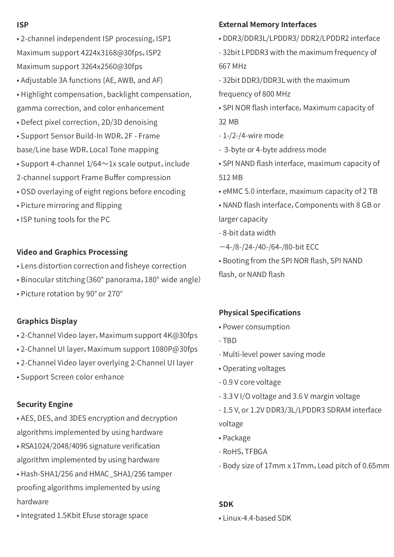#### **ISP**

- 2-channel independent ISP processing,ISP1 Maximum support 4224x3168@30fps, ISP2 Maximum support 3264x2560@30fps
- Adjustable 3A functions (AE, AWB, and AF)
- Highlight compensation, backlight compensation, gamma correction, and color enhancement
- Defect pixel correction, 2D/3D denoising
- Support Sensor Build-In WDR、2F Frame base/Line base WDR、Local Tone mapping
- Support 4-channel  $1/64 \sim 1x$  scale output, include
- 2-channel support Frame Buffer compression
- OSD overlaying of eight regions before encoding
- Picture mirroring and flipping
- ISP tuning tools for the PC

### **Video and Graphics Processing**

- Lens distortion correction and fisheye correction
- Binocular stitching(360° panorama,180° wide angle)
- Picture rotation by 90° or 270°

### **Graphics Display**

- 2-Channel Video layer, Maximum support 4K@30fps
- 2-Channel UI layer, Maximum support 1080P@30fps
- 2-Channel Video layer overlying 2-Channel UI layer
- Support Screen color enhance

### **Security Engine**

- AES, DES, and 3DES encryption and decryption algorithms implemented by using hardware
- RSA1024/2048/4096 signature verification algorithm implemented by using hardware
- Hash-SHA1/256 and HMAC\_SHA1/256 tamper proofing algorithms implemented by using hardware
- Integrated 1.5Kbit Efuse storage space

### **External Memory Interfaces**

- DDR3/DDR3L/LPDDR3/ DDR2/LPDDR2 interface
- 32bit LPDDR3 with the maximum frequency of 667 MHz
- 32bit DDR3/DDR3L with the maximum
- frequency of 800 MHz
- SPI NOR flash interface, Maximum capacity of 32 MB
- 1-/2-/4-wire mode
- 3-byte or 4-byte address mode
- SPI NAND flash interface, maximum capacity of 512 MB
- eMMC 5.0 interface, maximum capacity of 2 TB
- NAND flash interface,Components with 8 GB or larger capacity
- 8-bit data width
- $-4$ -/8-/24-/40-/64-/80-bit ECC
- Booting from the SPI NOR flash, SPI NAND
- flash, or NAND flash

### **Physical Specifications**

- Power consumption
- TBD
- Multi-level power saving mode
- Operating voltages
- 0.9 V core voltage
- 3.3 V I/O voltage and 3.6 V margin voltage
- 1.5 V, or 1.2V DDR3/3L/LPDDR3 SDRAM interface voltage
- Package
- RoHS,TFBGA
- Body size of 17mm x 17mm,Lead pitch of 0.65mm

### **SDK**

• Linux-4.4-based SDK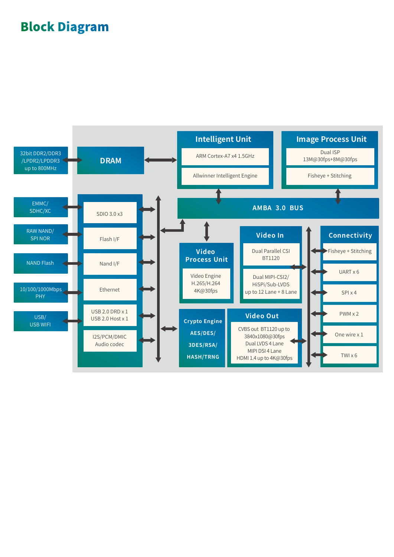### **Block Diagram**

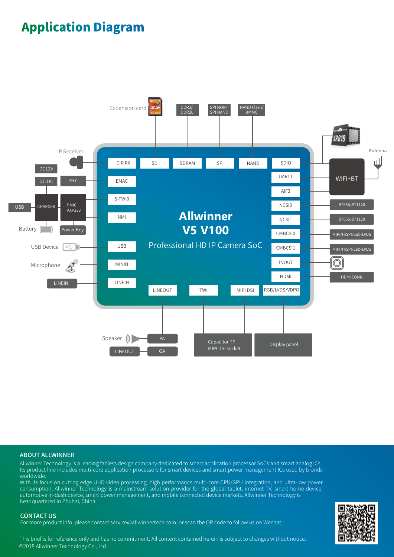### **Application Diagram**



#### ABOUT ALLWINNER

Allwinner Technology is a leading fabless design company dedicated to smart application processor SoCs and smart analog ICs. Its product line includes multi-core application processors for smart devices and smart power management ICs used by brands worldwide.

With its focus on cutting edge UHD video processing, high performance multi-core CPU/GPU integration, and ultra-low power consumption, Allwinner Technology is a mainstream solution provider for the global tablet, internet TV, smart home device, automotive in-dash device, smart power management, and mobile connected device markets. Allwinner Technology is headquartered in Zhuhai, China.

#### CONTACT US

For more product info, please contact service@allwinnertech.com, or scan the QR code to follow us on Wechat.

This brief is for reference only and has no commitment. All content contained herein is subject to changes without notice. ©2018 Allwinner Technology Co., Ltd.

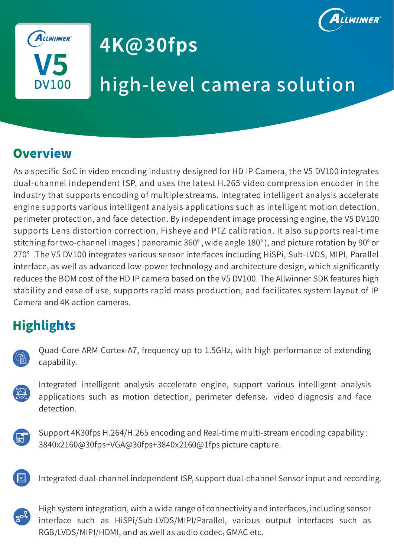



# **4K@30fps**

# high-level camera solution

### **Overview**

As a specific SoC in video encoding industry designed for HD IP Camera, the V5 DV100 integrates dual-channel independent ISP, and uses the latest H.265 video compression encoder in the industry that supports encoding of multiple streams. Integrated intelligent analysis accelerate engine supports various intelligent analysis applications such as intelligent motion detection, perimeter protection, and face detection. By independent image processing engine, the V5 DV100 supports Lens distortion correction, Fisheye and PTZ calibration. It also supports real-time stitching for two-channel images ( panoramic 360°, wide angle 180°), and picture rotation by 90° or 270° .The V5 DV100 integrates various sensor interfaces including HiSPi, Sub-LVDS, MIPI, Parallel interface, as well as advanced low-power technology and architecture design, which significantly reduces the BOM cost of the HD IP camera based on the V5 DV100. The Allwinner SDK features high stability and ease of use, supports rapid mass production, and facilitates system layout of IP Camera and 4K action cameras.

### **Highlights**

| π |  |
|---|--|

Quad-Core ARM Cortex-A7, frequency up to 1.5GHz, with high performance of extending capability.

Integrated intelligent analysis accelerate engine, support various intelligent analysis applications such as motion detection, perimeter defense, video diagnosis and face detection.



Support 4K30fps H.264/H.265 encoding and Real-time multi-stream encoding capability : 3840x2160@30fps+VGA@30fps+3840x2160@1fps picture capture.



Integrated dual-channel independent ISP, support dual-channel Sensor input and recording.



High system integration, with a wide range of connectivity and interfaces, including sensor interface such as HiSPi/Sub-LVDS/MIPI/Parallel, various output interfaces such as RGB/LVDS/MIPI/HDMI, and as well as audio codec,GMAC etc.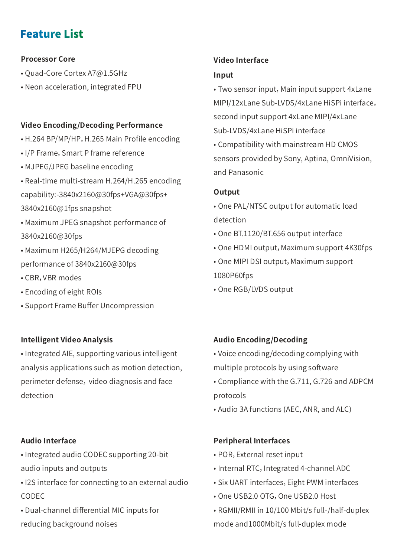### **Feature List**

### **Processor Core**

- Quad-Core Cortex A7@1.5GHz
- Neon acceleration, integrated FPU

### **Video Encoding/Decoding Performance**

- H.264 BP/MP/HP, H.265 Main Profile encoding
- I/P Frame, Smart P frame reference
- MJPEG/JPEG baseline encoding
- Real-time multi-stream H.264/H.265 encoding capability:-3840x2160@30fps+VGA@30fps+ 3840x2160@1fps snapshot
- Maximum JPEG snapshot performance of 3840x2160@30fps
- Maximum H265/H264/MJEPG decoding performance of 3840x2160@30fps
- CBR,VBR modes
- Encoding of eight ROIs
- Support Frame Buffer Uncompression

### **Intelligent Video Analysis**

• Integrated AIE, supporting various intelligent analysis applications such as motion detection, perimeter defense, video diagnosis and face detection

### **Audio Interface**

• Integrated audio CODEC supporting 20-bit audio inputs and outputs

- I2S interface for connecting to an external audio CODEC
- Dual-channel differential MIC inputs for reducing background noises

### **Video Interface**

#### **Input**

• Two sensor input, Main input support 4xLane MIPI/12xLane Sub-LVDS/4xLane HiSPi interface, second input support 4xLane MIPI/4xLane Sub-LVDS/4xLane HiSPi interface

• Compatibility with mainstream HD CMOS sensors provided by Sony, Aptina, OmniVision, and Panasonic

### **Output**

- One PAL/NTSC output for automatic load detection
- One BT.1120/BT.656 output interface
- One HDMI output, Maximum support 4K30fps
- One MIPI DSI output, Maximum support 1080P60fps
- One RGB/LVDS output

### **Audio Encoding/Decoding**

- Voice encoding/decoding complying with multiple protocols by using software
- Compliance with the G.711, G.726 and ADPCM protocols
- Audio 3A functions (AEC, ANR, and ALC)

### **Peripheral Interfaces**

- POR,External reset input
- Internal RTC, Integrated 4-channel ADC
- Six UART interfaces, Eight PWM interfaces
- One USB2.0 OTG, One USB2.0 Host
- RGMII/RMII in 10/100 Mbit/s full-/half-duplex mode and1000Mbit/s full-duplex mode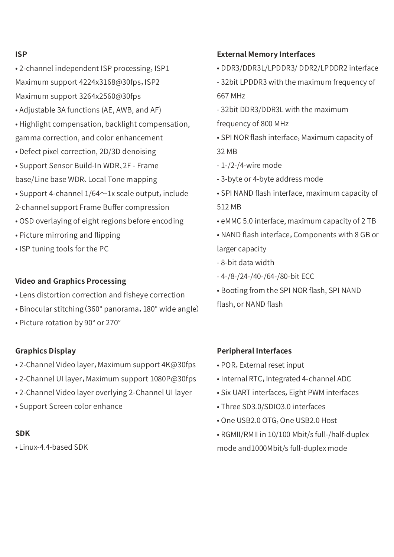#### **ISP**

- 2-channel independent ISP processing, ISP1 Maximum support 4224x3168@30fps, ISP2 Maximum support 3264x2560@30fps
- Adjustable 3A functions (AE, AWB, and AF)
- Highlight compensation, backlight compensation, gamma correction, and color enhancement
- Defect pixel correction, 2D/3D denoising
- Support Sensor Build-In WDR、2F Frame base/Line base WDR、Local Tone mapping
- Support 4-channel  $1/64 \sim 1x$  scale output, include
- 2-channel support Frame Buffer compression
- OSD overlaying of eight regions before encoding
- Picture mirroring and flipping
- ISP tuning tools for the PC

### **Video and Graphics Processing**

- Lens distortion correction and fisheye correction
- Binocular stitching(360° panorama,180° wide angle)
- Picture rotation by 90° or 270°

### **Graphics Display**

- 2-Channel Video layer, Maximum support 4K@30fps
- 2-Channel UI layer, Maximum support 1080P@30fps
- 2-Channel Video layer overlying 2-Channel UI layer
- Support Screen color enhance

### **SDK**

• Linux-4.4-based SDK

### **External Memory Interfaces**

- DDR3/DDR3L/LPDDR3/ DDR2/LPDDR2 interface
- 32bit LPDDR3 with the maximum frequency of 667 MHz
- 32bit DDR3/DDR3L with the maximum
- frequency of 800 MHz
- SPI NOR flash interface, Maximum capacity of 32 MB
- 1-/2-/4-wire mode
- 3-byte or 4-byte address mode
- SPI NAND flash interface, maximum capacity of 512 MB
- eMMC 5.0 interface, maximum capacity of 2 TB
- NAND flash interface,Components with 8 GB or larger capacity
- 8-bit data width
- 4-/8-/24-/40-/64-/80-bit ECC
- Booting from the SPI NOR flash, SPI NAND flash, or NAND flash

### **Peripheral Interfaces**

- POR,External reset input
- Internal RTC, Integrated 4-channel ADC
- Six UART interfaces, Eight PWM interfaces
- Three SD3.0/SDIO3.0 interfaces
- One USB2.0 OTG, One USB2.0 Host
- RGMII/RMII in 10/100 Mbit/s full-/half-duplex mode and1000Mbit/s full-duplex mode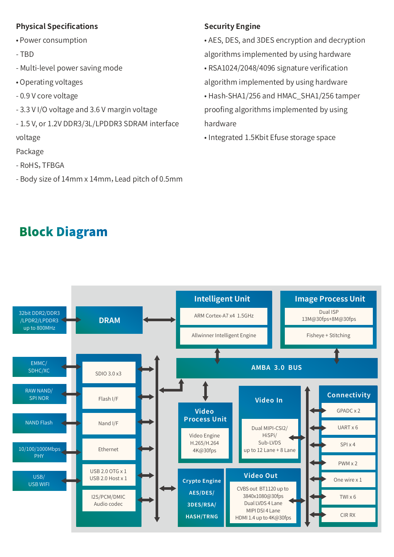### **Physical Specifications**

- Power consumption
- TBD
- Multi-level power saving mode
- Operating voltages
- 0.9 V core voltage
- 3.3 V I/O voltage and 3.6 V margin voltage
- 1.5 V, or 1.2V DDR3/3L/LPDDR3 SDRAM interface

voltage

- Package
- RoHS,TFBGA
- Body size of 14mm x 14mm, Lead pitch of 0.5mm

### **Security Engine**

• AES, DES, and 3DES encryption and decryption algorithms implemented by using hardware

- RSA1024/2048/4096 signature verification algorithm implemented by using hardware
- Hash-SHA1/256 and HMAC\_SHA1/256 tamper proofing algorithms implemented by using hardware
- Integrated 1.5Kbit Efuse storage space

### **Block Diagram**